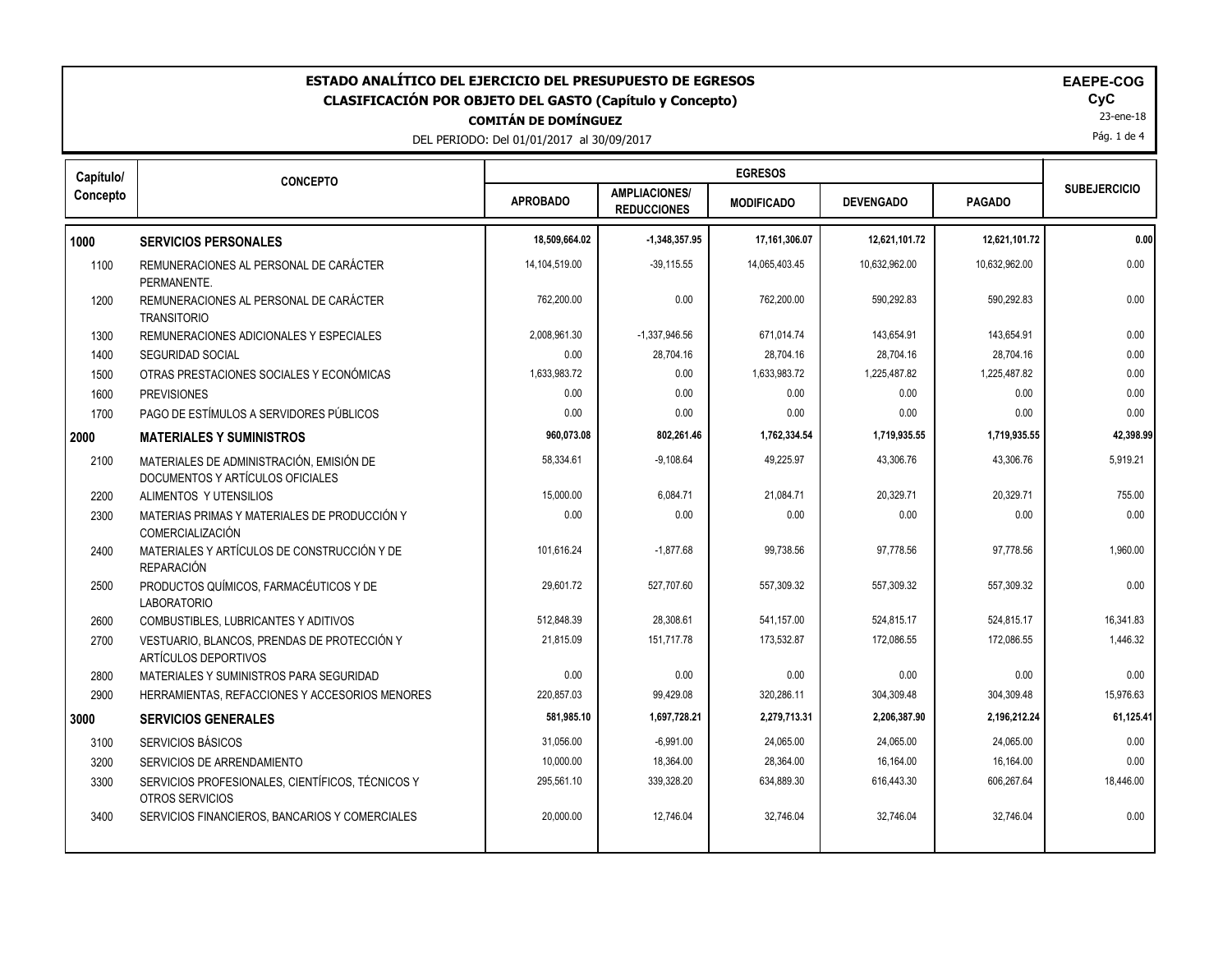| ESTADO ANALÍTICO DEL EJERCICIO DEL PRESUPUESTO DE EGRESOS<br><b>EAEPE-COG</b><br>CyC<br><b>CLASIFICACIÓN POR OBJETO DEL GASTO (Capítulo y Concepto)</b><br>23-ene-18<br><b>COMITÁN DE DOMÍNGUEZ</b><br>Pág. 1 de 4<br>DEL PERIODO: Del 01/01/2017 al 30/09/2017 |                                                                              |                 |                                            |                   |                  |               |                     |
|-----------------------------------------------------------------------------------------------------------------------------------------------------------------------------------------------------------------------------------------------------------------|------------------------------------------------------------------------------|-----------------|--------------------------------------------|-------------------|------------------|---------------|---------------------|
| Capítulo/                                                                                                                                                                                                                                                       | <b>CONCEPTO</b>                                                              |                 |                                            | <b>EGRESOS</b>    |                  |               | <b>SUBEJERCICIO</b> |
| Concepto                                                                                                                                                                                                                                                        |                                                                              | <b>APROBADO</b> | <b>AMPLIACIONES/</b><br><b>REDUCCIONES</b> | <b>MODIFICADO</b> | <b>DEVENGADO</b> | <b>PAGADO</b> |                     |
| 1000                                                                                                                                                                                                                                                            | <b>SERVICIOS PERSONALES</b>                                                  | 18,509,664.02   | $-1,348,357.95$                            | 17,161,306.07     | 12,621,101.72    | 12,621,101.72 | 0.00                |
| 1100                                                                                                                                                                                                                                                            | REMUNERACIONES AL PERSONAL DE CARÁCTER<br>PERMANENTE.                        | 14,104,519.00   | $-39,115.55$                               | 14,065,403.45     | 10,632,962.00    | 10,632,962.00 | 0.00                |
| 1200                                                                                                                                                                                                                                                            | REMUNERACIONES AL PERSONAL DE CARÁCTER<br><b>TRANSITORIO</b>                 | 762,200.00      | 0.00                                       | 762,200.00        | 590,292.83       | 590,292.83    | 0.00                |
| 1300                                                                                                                                                                                                                                                            | REMUNERACIONES ADICIONALES Y ESPECIALES                                      | 2.008.961.30    | $-1,337,946.56$                            | 671.014.74        | 143.654.91       | 143.654.91    | 0.00                |
| 1400                                                                                                                                                                                                                                                            | <b>SEGURIDAD SOCIAL</b>                                                      | 0.00            | 28,704.16                                  | 28,704.16         | 28,704.16        | 28,704.16     | 0.00                |
| 1500                                                                                                                                                                                                                                                            | OTRAS PRESTACIONES SOCIALES Y ECONÓMICAS                                     | 1,633,983.72    | 0.00                                       | 1,633,983.72      | 1,225,487.82     | 1,225,487.82  | 0.00                |
| 1600                                                                                                                                                                                                                                                            | <b>PREVISIONES</b>                                                           | 0.00            | 0.00                                       | 0.00              | 0.00             | 0.00          | 0.00                |
| 1700                                                                                                                                                                                                                                                            | PAGO DE ESTÍMULOS A SERVIDORES PÚBLICOS                                      | 0.00            | 0.00                                       | 0.00              | 0.00             | 0.00          | 0.00                |
| 2000                                                                                                                                                                                                                                                            | <b>MATERIALES Y SUMINISTROS</b>                                              | 960,073.08      | 802,261.46                                 | 1,762,334.54      | 1,719,935.55     | 1,719,935.55  | 42,398.99           |
| 2100                                                                                                                                                                                                                                                            | MATERIALES DE ADMINISTRACIÓN, EMISIÓN DE<br>DOCUMENTOS Y ARTÍCULOS OFICIALES | 58.334.61       | $-9.108.64$                                | 49.225.97         | 43.306.76        | 43,306.76     | 5.919.21            |
| 2200                                                                                                                                                                                                                                                            | ALIMENTOS Y UTENSILIOS                                                       | 15,000.00       | 6,084.71                                   | 21,084.71         | 20,329.71        | 20,329.71     | 755.00              |
| 2300                                                                                                                                                                                                                                                            | MATERIAS PRIMAS Y MATERIALES DE PRODUCCIÓN Y<br><b>COMERCIALIZACIÓN</b>      | 0.00            | 0.00                                       | 0.00              | 0.00             | 0.00          | 0.00                |
| 2400                                                                                                                                                                                                                                                            | MATERIALES Y ARTÍCULOS DE CONSTRUCCIÓN Y DE<br><b>REPARACIÓN</b>             | 101,616.24      | $-1,877.68$                                | 99,738.56         | 97,778.56        | 97,778.56     | 1,960.00            |
| 2500                                                                                                                                                                                                                                                            | PRODUCTOS QUÍMICOS, FARMACÉUTICOS Y DE<br><b>LABORATORIO</b>                 | 29,601.72       | 527,707.60                                 | 557,309.32        | 557,309.32       | 557,309.32    | 0.00                |
| 2600                                                                                                                                                                                                                                                            | COMBUSTIBLES, LUBRICANTES Y ADITIVOS                                         | 512,848.39      | 28,308.61                                  | 541,157.00        | 524,815.17       | 524,815.17    | 16,341.83           |
| 2700                                                                                                                                                                                                                                                            | VESTUARIO, BLANCOS, PRENDAS DE PROTECCIÓN Y<br><b>ARTÍCULOS DEPORTIVOS</b>   | 21,815.09       | 151,717.78                                 | 173,532.87        | 172,086.55       | 172,086.55    | 1,446.32            |
| 2800                                                                                                                                                                                                                                                            | MATERIALES Y SUMINISTROS PARA SEGURIDAD                                      | 0.00            | 0.00                                       | 0.00              | 0.00             | 0.00          | 0.00                |
| 2900                                                                                                                                                                                                                                                            | HERRAMIENTAS, REFACCIONES Y ACCESORIOS MENORES                               | 220,857.03      | 99,429.08                                  | 320,286.11        | 304,309.48       | 304,309.48    | 15,976.63           |
| 3000                                                                                                                                                                                                                                                            | <b>SERVICIOS GENERALES</b>                                                   | 581,985.10      | 1,697,728.21                               | 2,279,713.31      | 2,206,387.90     | 2,196,212.24  | 61,125.41           |
| 3100                                                                                                                                                                                                                                                            | <b>SERVICIOS BÁSICOS</b>                                                     | 31,056.00       | $-6,991.00$                                | 24,065.00         | 24,065.00        | 24,065.00     | 0.00                |
| 3200                                                                                                                                                                                                                                                            | SERVICIOS DE ARRENDAMIENTO                                                   | 10,000.00       | 18,364.00                                  | 28,364.00         | 16,164.00        | 16,164.00     | 0.00                |
| 3300                                                                                                                                                                                                                                                            | SERVICIOS PROFESIONALES, CIENTÍFICOS, TÉCNICOS Y<br>OTROS SERVICIOS          | 295,561.10      | 339,328.20                                 | 634,889.30        | 616,443.30       | 606,267.64    | 18,446.00           |
| 3400                                                                                                                                                                                                                                                            | SERVICIOS FINANCIEROS, BANCARIOS Y COMERCIALES                               | 20,000.00       | 12,746.04                                  | 32,746.04         | 32,746.04        | 32,746.04     | 0.00                |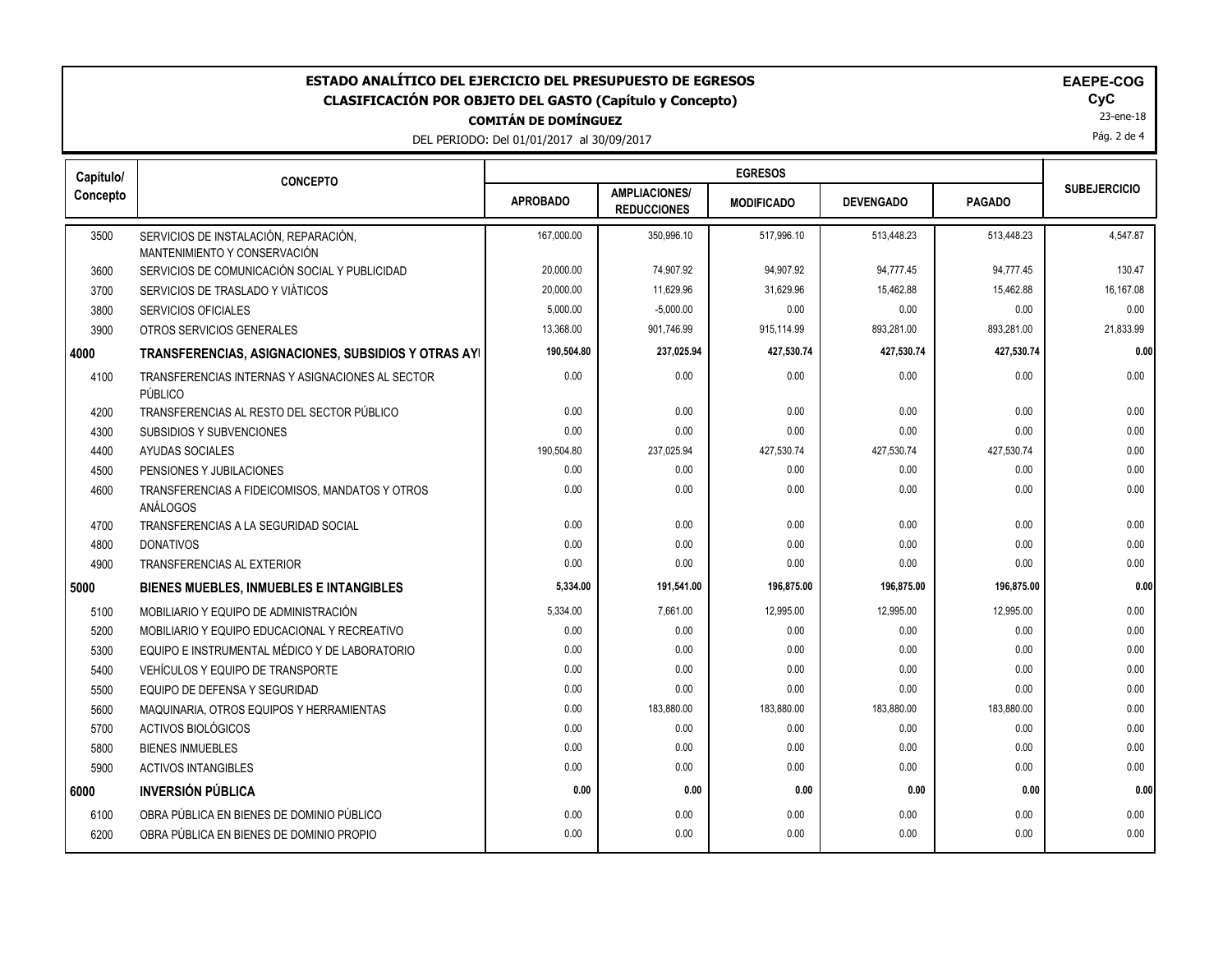| ESTADO ANALÍTICO DEL EJERCICIO DEL PRESUPUESTO DE EGRESOS<br>EAEPE-COG<br>CyC<br>CLASIFICACIÓN POR OBJETO DEL GASTO (Capítulo y Concepto)<br>23-ene-18<br><b>COMITÁN DE DOMÍNGUEZ</b><br>Pág. 2 de 4<br>DEL PERIODO: Del 01/01/2017 al 30/09/2017 |                                                                       |                 |                                            |                   |                  |               |                     |  |
|---------------------------------------------------------------------------------------------------------------------------------------------------------------------------------------------------------------------------------------------------|-----------------------------------------------------------------------|-----------------|--------------------------------------------|-------------------|------------------|---------------|---------------------|--|
| Capítulo/                                                                                                                                                                                                                                         | <b>CONCEPTO</b>                                                       |                 |                                            |                   |                  |               |                     |  |
| Concepto                                                                                                                                                                                                                                          |                                                                       | <b>APROBADO</b> | <b>AMPLIACIONES/</b><br><b>REDUCCIONES</b> | <b>MODIFICADO</b> | <b>DEVENGADO</b> | <b>PAGADO</b> | <b>SUBEJERCICIO</b> |  |
| 3500                                                                                                                                                                                                                                              | SERVICIOS DE INSTALACIÓN, REPARACIÓN,<br>MANTENIMIENTO Y CONSERVACIÓN | 167,000.00      | 350,996.10                                 | 517,996.10        | 513,448.23       | 513,448.23    | 4,547.87            |  |
| 3600                                                                                                                                                                                                                                              | SERVICIOS DE COMUNICACIÓN SOCIAL Y PUBLICIDAD                         | 20,000.00       | 74,907.92                                  | 94,907.92         | 94,777.45        | 94,777.45     | 130.47              |  |
| 3700                                                                                                                                                                                                                                              | SERVICIOS DE TRASLADO Y VIÁTICOS                                      | 20,000.00       | 11,629.96                                  | 31,629.96         | 15,462.88        | 15,462.88     | 16,167.08           |  |
| 3800                                                                                                                                                                                                                                              | <b>SERVICIOS OFICIALES</b>                                            | 5,000.00        | $-5,000.00$                                | 0.00              | 0.00             | 0.00          | 0.00                |  |
| 3900                                                                                                                                                                                                                                              | OTROS SERVICIOS GENERALES                                             | 13,368.00       | 901,746.99                                 | 915,114.99        | 893,281.00       | 893,281.00    | 21,833.99           |  |
| 4000                                                                                                                                                                                                                                              | TRANSFERENCIAS, ASIGNACIONES, SUBSIDIOS Y OTRAS AYI                   | 190,504.80      | 237,025.94                                 | 427,530.74        | 427,530.74       | 427,530.74    | 0.00                |  |
| 4100                                                                                                                                                                                                                                              | TRANSFERENCIAS INTERNAS Y ASIGNACIONES AL SECTOR<br>PÚBLICO           | 0.00            | 0.00                                       | 0.00              | 0.00             | 0.00          | 0.00                |  |
| 4200                                                                                                                                                                                                                                              | TRANSFERENCIAS AL RESTO DEL SECTOR PÚBLICO                            | 0.00            | 0.00                                       | 0.00              | 0.00             | 0.00          | 0.00                |  |
| 4300                                                                                                                                                                                                                                              | SUBSIDIOS Y SUBVENCIONES                                              | 0.00            | 0.00                                       | 0.00              | 0.00             | 0.00          | 0.00                |  |
| 4400                                                                                                                                                                                                                                              | <b>AYUDAS SOCIALES</b>                                                | 190,504.80      | 237,025.94                                 | 427,530.74        | 427,530.74       | 427,530.74    | 0.00                |  |
| 4500                                                                                                                                                                                                                                              | PENSIONES Y JUBILACIONES                                              | 0.00            | 0.00                                       | 0.00              | 0.00             | 0.00          | 0.00                |  |
| 4600                                                                                                                                                                                                                                              | TRANSFERENCIAS A FIDEICOMISOS, MANDATOS Y OTROS<br>ANÁLOGOS           | 0.00            | 0.00                                       | 0.00              | 0.00             | 0.00          | 0.00                |  |
| 4700                                                                                                                                                                                                                                              | TRANSFERENCIAS A LA SEGURIDAD SOCIAL                                  | 0.00            | 0.00                                       | 0.00              | 0.00             | 0.00          | 0.00                |  |
| 4800                                                                                                                                                                                                                                              | <b>DONATIVOS</b>                                                      | 0.00            | 0.00                                       | 0.00              | 0.00             | 0.00          | 0.00                |  |
| 4900                                                                                                                                                                                                                                              | <b>TRANSFERENCIAS AL EXTERIOR</b>                                     | 0.00            | 0.00                                       | 0.00              | 0.00             | 0.00          | 0.00                |  |
| 5000                                                                                                                                                                                                                                              | <b>BIENES MUEBLES, INMUEBLES E INTANGIBLES</b>                        | 5,334.00        | 191,541.00                                 | 196,875.00        | 196,875.00       | 196,875.00    | 0.00                |  |
| 5100                                                                                                                                                                                                                                              | MOBILIARIO Y EQUIPO DE ADMINISTRACIÓN                                 | 5,334.00        | 7,661.00                                   | 12,995.00         | 12,995.00        | 12,995.00     | 0.00                |  |
| 5200                                                                                                                                                                                                                                              | MOBILIARIO Y EQUIPO EDUCACIONAL Y RECREATIVO                          | 0.00            | 0.00                                       | 0.00              | 0.00             | 0.00          | 0.00                |  |
| 5300                                                                                                                                                                                                                                              | EQUIPO E INSTRUMENTAL MÉDICO Y DE LABORATORIO                         | 0.00            | 0.00                                       | 0.00              | 0.00             | 0.00          | 0.00                |  |
| 5400                                                                                                                                                                                                                                              | VEHÍCULOS Y EQUIPO DE TRANSPORTE                                      | 0.00            | 0.00                                       | 0.00              | 0.00             | 0.00          | 0.00                |  |
| 5500                                                                                                                                                                                                                                              | EQUIPO DE DEFENSA Y SEGURIDAD                                         | 0.00            | 0.00                                       | 0.00              | 0.00             | 0.00          | 0.00                |  |
| 5600                                                                                                                                                                                                                                              | MAQUINARIA, OTROS EQUIPOS Y HERRAMIENTAS                              | 0.00            | 183,880.00                                 | 183,880.00        | 183,880.00       | 183,880.00    | 0.00                |  |
| 5700                                                                                                                                                                                                                                              | ACTIVOS BIOLÓGICOS                                                    | 0.00            | 0.00                                       | 0.00              | 0.00             | 0.00          | 0.00                |  |
| 5800                                                                                                                                                                                                                                              | <b>BIENES INMUEBLES</b>                                               | 0.00            | 0.00                                       | 0.00              | 0.00             | 0.00          | 0.00                |  |
| 5900                                                                                                                                                                                                                                              | <b>ACTIVOS INTANGIBLES</b>                                            | 0.00            | 0.00                                       | 0.00              | 0.00             | 0.00          | 0.00                |  |
| 6000                                                                                                                                                                                                                                              | <b>INVERSIÓN PÚBLICA</b>                                              | 0.00            | 0.00                                       | 0.00              | 0.00             | 0.00          | 0.00                |  |
| 6100                                                                                                                                                                                                                                              | OBRA PÚBLICA EN BIENES DE DOMINIO PÚBLICO                             | 0.00            | 0.00                                       | 0.00              | 0.00             | 0.00          | 0.00                |  |
| 6200                                                                                                                                                                                                                                              | OBRA PÚBLICA EN BIENES DE DOMINIO PROPIO                              | 0.00            | 0.00                                       | 0.00              | 0.00             | 0.00          | 0.00                |  |
|                                                                                                                                                                                                                                                   |                                                                       |                 |                                            |                   |                  |               |                     |  |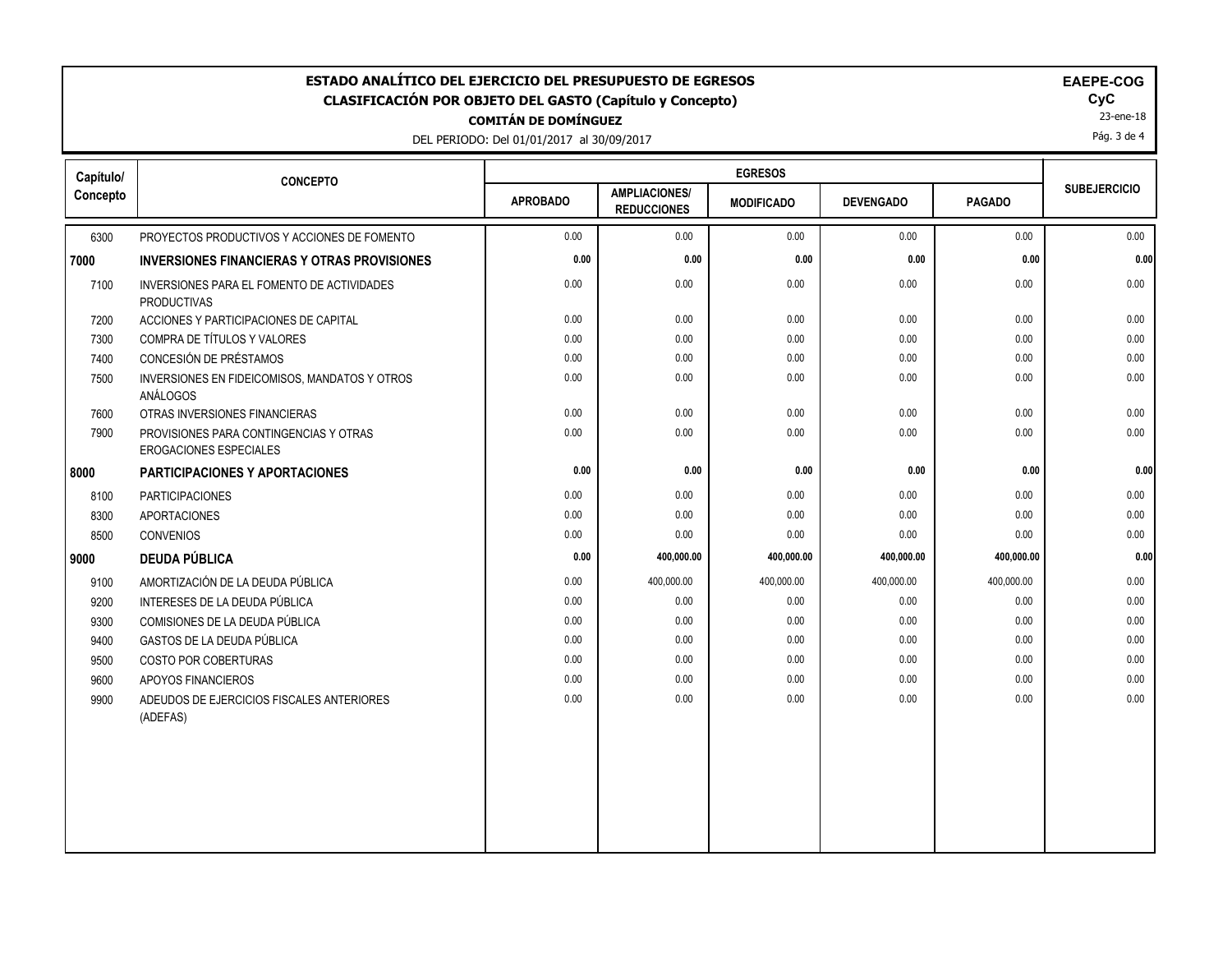| <b>EGRESOS</b><br>Capítulo/<br><b>CONCEPTO</b><br><b>SUBEJERCICIO</b><br><b>AMPLIACIONES/</b><br><b>APROBADO</b><br><b>PAGADO</b><br><b>DEVENGADO</b><br><b>MODIFICADO</b><br><b>REDUCCIONES</b><br>0.00<br>0.00<br>0.00<br>6300<br>PROYECTOS PRODUCTIVOS Y ACCIONES DE FOMENTO<br>0.00<br>0.00<br>0.00<br>0.00<br>0.00<br>0.00<br>0.00<br>0.00<br><b>INVERSIONES FINANCIERAS Y OTRAS PROVISIONES</b><br>0.00<br>0.00<br>0.00<br>0.00<br>0.00<br>0.00<br>7100<br>INVERSIONES PARA EL FOMENTO DE ACTIVIDADES<br><b>PRODUCTIVAS</b><br>7200<br>ACCIONES Y PARTICIPACIONES DE CAPITAL<br>0.00<br>0.00<br>0.00<br>0.00<br>0.00<br>0.00<br>COMPRA DE TÍTULOS Y VALORES<br>0.00<br>0.00<br>0.00<br>0.00<br>0.00<br>0.00<br>7300<br>CONCESIÓN DE PRÉSTAMOS<br>7400<br>0.00<br>0.00<br>0.00<br>0.00<br>0.00<br>0.00<br>0.00<br>0.00<br>0.00<br>0.00<br>0.00<br>0.00<br>7500<br>INVERSIONES EN FIDEICOMISOS, MANDATOS Y OTROS<br><b>ANÁLOGOS</b><br>0.00<br>0.00<br>0.00<br>0.00<br>0.00<br>7600<br>OTRAS INVERSIONES FINANCIERAS<br>0.00<br>7900<br>0.00<br>0.00<br>0.00<br>0.00<br>0.00<br>0.00<br>PROVISIONES PARA CONTINGENCIAS Y OTRAS<br>EROGACIONES ESPECIALES<br>0.00<br>0.00<br>0.00<br>0.00<br>0.00<br><b>PARTICIPACIONES Y APORTACIONES</b><br>8100<br><b>PARTICIPACIONES</b><br>0.00<br>0.00<br>0.00<br>0.00<br>$0.00\,$<br>0.00<br>0.00<br>0.00<br>0.00<br>0.00<br>0.00<br>0.00<br>8300<br><b>APORTACIONES</b><br>0.00<br>0.00<br>8500<br><b>CONVENIOS</b><br>0.00<br>0.00<br>0.00<br>0.00<br>0.00<br>400,000.00<br><b>DEUDA PÚBLICA</b><br>400,000.00<br>400,000.00<br>400,000.00<br>AMORTIZACIÓN DE LA DEUDA PÚBLICA<br>0.00<br>400,000.00<br>400,000.00<br>400,000.00<br>400,000.00<br>0.00<br>9100<br>9200<br>INTERESES DE LA DEUDA PÚBLICA<br>0.00<br>0.00<br>0.00<br>0.00<br>0.00<br>0.00<br>0.00<br>0.00<br>0.00<br>9300<br>COMISIONES DE LA DEUDA PÚBLICA<br>0.00<br>0.00<br>0.00<br>9400<br>GASTOS DE LA DEUDA PÚBLICA<br>0.00<br>0.00<br>0.00<br>0.00<br>0.00<br>0.00<br>0.00<br>0.00<br>0.00<br>0.00<br>0.00<br>9500<br>COSTO POR COBERTURAS<br>0.00<br>9600<br>0.00<br>0.00<br>0.00<br>0.00<br>0.00<br>0.00<br>APOYOS FINANCIEROS<br>0.00<br>0.00<br>0.00<br>0.00<br>0.00<br>0.00<br>9900<br>ADEUDOS DE EJERCICIOS FISCALES ANTERIORES<br>(ADEFAS) | ESTADO ANALÍTICO DEL EJERCICIO DEL PRESUPUESTO DE EGRESOS<br>EAEPE-COG<br>CyC<br><b>CLASIFICACIÓN POR OBJETO DEL GASTO (Capítulo y Concepto)</b><br>23-ene-18<br><b>COMITÁN DE DOMÍNGUEZ</b><br>Pág. 3 de 4<br>DEL PERIODO: Del 01/01/2017 al 30/09/2017 |  |  |  |  |  |  |      |
|--------------------------------------------------------------------------------------------------------------------------------------------------------------------------------------------------------------------------------------------------------------------------------------------------------------------------------------------------------------------------------------------------------------------------------------------------------------------------------------------------------------------------------------------------------------------------------------------------------------------------------------------------------------------------------------------------------------------------------------------------------------------------------------------------------------------------------------------------------------------------------------------------------------------------------------------------------------------------------------------------------------------------------------------------------------------------------------------------------------------------------------------------------------------------------------------------------------------------------------------------------------------------------------------------------------------------------------------------------------------------------------------------------------------------------------------------------------------------------------------------------------------------------------------------------------------------------------------------------------------------------------------------------------------------------------------------------------------------------------------------------------------------------------------------------------------------------------------------------------------------------------------------------------------------------------------------------------------------------------------------------------------------------------------------------------------------------------------------------------------------------------------------------------------------------------------------------------------------------------------------------------------|----------------------------------------------------------------------------------------------------------------------------------------------------------------------------------------------------------------------------------------------------------|--|--|--|--|--|--|------|
|                                                                                                                                                                                                                                                                                                                                                                                                                                                                                                                                                                                                                                                                                                                                                                                                                                                                                                                                                                                                                                                                                                                                                                                                                                                                                                                                                                                                                                                                                                                                                                                                                                                                                                                                                                                                                                                                                                                                                                                                                                                                                                                                                                                                                                                                    |                                                                                                                                                                                                                                                          |  |  |  |  |  |  |      |
|                                                                                                                                                                                                                                                                                                                                                                                                                                                                                                                                                                                                                                                                                                                                                                                                                                                                                                                                                                                                                                                                                                                                                                                                                                                                                                                                                                                                                                                                                                                                                                                                                                                                                                                                                                                                                                                                                                                                                                                                                                                                                                                                                                                                                                                                    | Concepto                                                                                                                                                                                                                                                 |  |  |  |  |  |  |      |
|                                                                                                                                                                                                                                                                                                                                                                                                                                                                                                                                                                                                                                                                                                                                                                                                                                                                                                                                                                                                                                                                                                                                                                                                                                                                                                                                                                                                                                                                                                                                                                                                                                                                                                                                                                                                                                                                                                                                                                                                                                                                                                                                                                                                                                                                    |                                                                                                                                                                                                                                                          |  |  |  |  |  |  |      |
|                                                                                                                                                                                                                                                                                                                                                                                                                                                                                                                                                                                                                                                                                                                                                                                                                                                                                                                                                                                                                                                                                                                                                                                                                                                                                                                                                                                                                                                                                                                                                                                                                                                                                                                                                                                                                                                                                                                                                                                                                                                                                                                                                                                                                                                                    | 7000                                                                                                                                                                                                                                                     |  |  |  |  |  |  | 0.00 |
|                                                                                                                                                                                                                                                                                                                                                                                                                                                                                                                                                                                                                                                                                                                                                                                                                                                                                                                                                                                                                                                                                                                                                                                                                                                                                                                                                                                                                                                                                                                                                                                                                                                                                                                                                                                                                                                                                                                                                                                                                                                                                                                                                                                                                                                                    |                                                                                                                                                                                                                                                          |  |  |  |  |  |  |      |
|                                                                                                                                                                                                                                                                                                                                                                                                                                                                                                                                                                                                                                                                                                                                                                                                                                                                                                                                                                                                                                                                                                                                                                                                                                                                                                                                                                                                                                                                                                                                                                                                                                                                                                                                                                                                                                                                                                                                                                                                                                                                                                                                                                                                                                                                    |                                                                                                                                                                                                                                                          |  |  |  |  |  |  |      |
|                                                                                                                                                                                                                                                                                                                                                                                                                                                                                                                                                                                                                                                                                                                                                                                                                                                                                                                                                                                                                                                                                                                                                                                                                                                                                                                                                                                                                                                                                                                                                                                                                                                                                                                                                                                                                                                                                                                                                                                                                                                                                                                                                                                                                                                                    |                                                                                                                                                                                                                                                          |  |  |  |  |  |  |      |
|                                                                                                                                                                                                                                                                                                                                                                                                                                                                                                                                                                                                                                                                                                                                                                                                                                                                                                                                                                                                                                                                                                                                                                                                                                                                                                                                                                                                                                                                                                                                                                                                                                                                                                                                                                                                                                                                                                                                                                                                                                                                                                                                                                                                                                                                    |                                                                                                                                                                                                                                                          |  |  |  |  |  |  |      |
|                                                                                                                                                                                                                                                                                                                                                                                                                                                                                                                                                                                                                                                                                                                                                                                                                                                                                                                                                                                                                                                                                                                                                                                                                                                                                                                                                                                                                                                                                                                                                                                                                                                                                                                                                                                                                                                                                                                                                                                                                                                                                                                                                                                                                                                                    |                                                                                                                                                                                                                                                          |  |  |  |  |  |  |      |
|                                                                                                                                                                                                                                                                                                                                                                                                                                                                                                                                                                                                                                                                                                                                                                                                                                                                                                                                                                                                                                                                                                                                                                                                                                                                                                                                                                                                                                                                                                                                                                                                                                                                                                                                                                                                                                                                                                                                                                                                                                                                                                                                                                                                                                                                    |                                                                                                                                                                                                                                                          |  |  |  |  |  |  |      |
|                                                                                                                                                                                                                                                                                                                                                                                                                                                                                                                                                                                                                                                                                                                                                                                                                                                                                                                                                                                                                                                                                                                                                                                                                                                                                                                                                                                                                                                                                                                                                                                                                                                                                                                                                                                                                                                                                                                                                                                                                                                                                                                                                                                                                                                                    |                                                                                                                                                                                                                                                          |  |  |  |  |  |  |      |
|                                                                                                                                                                                                                                                                                                                                                                                                                                                                                                                                                                                                                                                                                                                                                                                                                                                                                                                                                                                                                                                                                                                                                                                                                                                                                                                                                                                                                                                                                                                                                                                                                                                                                                                                                                                                                                                                                                                                                                                                                                                                                                                                                                                                                                                                    | 8000                                                                                                                                                                                                                                                     |  |  |  |  |  |  | 0.00 |
|                                                                                                                                                                                                                                                                                                                                                                                                                                                                                                                                                                                                                                                                                                                                                                                                                                                                                                                                                                                                                                                                                                                                                                                                                                                                                                                                                                                                                                                                                                                                                                                                                                                                                                                                                                                                                                                                                                                                                                                                                                                                                                                                                                                                                                                                    |                                                                                                                                                                                                                                                          |  |  |  |  |  |  |      |
|                                                                                                                                                                                                                                                                                                                                                                                                                                                                                                                                                                                                                                                                                                                                                                                                                                                                                                                                                                                                                                                                                                                                                                                                                                                                                                                                                                                                                                                                                                                                                                                                                                                                                                                                                                                                                                                                                                                                                                                                                                                                                                                                                                                                                                                                    |                                                                                                                                                                                                                                                          |  |  |  |  |  |  |      |
|                                                                                                                                                                                                                                                                                                                                                                                                                                                                                                                                                                                                                                                                                                                                                                                                                                                                                                                                                                                                                                                                                                                                                                                                                                                                                                                                                                                                                                                                                                                                                                                                                                                                                                                                                                                                                                                                                                                                                                                                                                                                                                                                                                                                                                                                    |                                                                                                                                                                                                                                                          |  |  |  |  |  |  |      |
|                                                                                                                                                                                                                                                                                                                                                                                                                                                                                                                                                                                                                                                                                                                                                                                                                                                                                                                                                                                                                                                                                                                                                                                                                                                                                                                                                                                                                                                                                                                                                                                                                                                                                                                                                                                                                                                                                                                                                                                                                                                                                                                                                                                                                                                                    | 9000                                                                                                                                                                                                                                                     |  |  |  |  |  |  | 0.00 |
|                                                                                                                                                                                                                                                                                                                                                                                                                                                                                                                                                                                                                                                                                                                                                                                                                                                                                                                                                                                                                                                                                                                                                                                                                                                                                                                                                                                                                                                                                                                                                                                                                                                                                                                                                                                                                                                                                                                                                                                                                                                                                                                                                                                                                                                                    |                                                                                                                                                                                                                                                          |  |  |  |  |  |  |      |
|                                                                                                                                                                                                                                                                                                                                                                                                                                                                                                                                                                                                                                                                                                                                                                                                                                                                                                                                                                                                                                                                                                                                                                                                                                                                                                                                                                                                                                                                                                                                                                                                                                                                                                                                                                                                                                                                                                                                                                                                                                                                                                                                                                                                                                                                    |                                                                                                                                                                                                                                                          |  |  |  |  |  |  |      |
|                                                                                                                                                                                                                                                                                                                                                                                                                                                                                                                                                                                                                                                                                                                                                                                                                                                                                                                                                                                                                                                                                                                                                                                                                                                                                                                                                                                                                                                                                                                                                                                                                                                                                                                                                                                                                                                                                                                                                                                                                                                                                                                                                                                                                                                                    |                                                                                                                                                                                                                                                          |  |  |  |  |  |  |      |
|                                                                                                                                                                                                                                                                                                                                                                                                                                                                                                                                                                                                                                                                                                                                                                                                                                                                                                                                                                                                                                                                                                                                                                                                                                                                                                                                                                                                                                                                                                                                                                                                                                                                                                                                                                                                                                                                                                                                                                                                                                                                                                                                                                                                                                                                    |                                                                                                                                                                                                                                                          |  |  |  |  |  |  |      |
|                                                                                                                                                                                                                                                                                                                                                                                                                                                                                                                                                                                                                                                                                                                                                                                                                                                                                                                                                                                                                                                                                                                                                                                                                                                                                                                                                                                                                                                                                                                                                                                                                                                                                                                                                                                                                                                                                                                                                                                                                                                                                                                                                                                                                                                                    |                                                                                                                                                                                                                                                          |  |  |  |  |  |  |      |
|                                                                                                                                                                                                                                                                                                                                                                                                                                                                                                                                                                                                                                                                                                                                                                                                                                                                                                                                                                                                                                                                                                                                                                                                                                                                                                                                                                                                                                                                                                                                                                                                                                                                                                                                                                                                                                                                                                                                                                                                                                                                                                                                                                                                                                                                    |                                                                                                                                                                                                                                                          |  |  |  |  |  |  |      |
|                                                                                                                                                                                                                                                                                                                                                                                                                                                                                                                                                                                                                                                                                                                                                                                                                                                                                                                                                                                                                                                                                                                                                                                                                                                                                                                                                                                                                                                                                                                                                                                                                                                                                                                                                                                                                                                                                                                                                                                                                                                                                                                                                                                                                                                                    |                                                                                                                                                                                                                                                          |  |  |  |  |  |  |      |